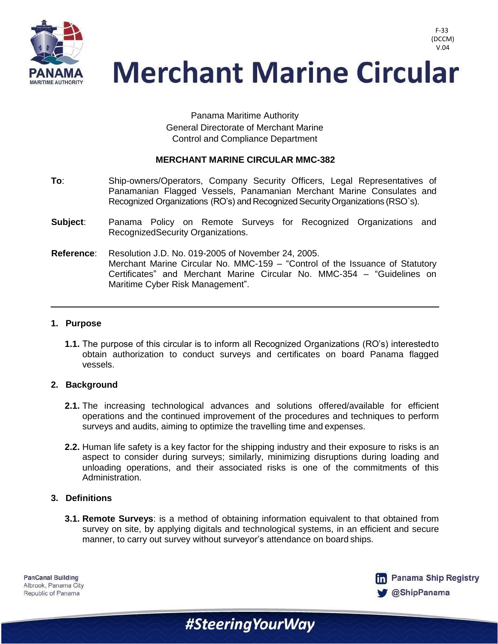

**Merchant Marine Circular** 

Panama Maritime Authority General Directorate of Merchant Marine Control and Compliance Department

## **MERCHANT MARINE CIRCULAR MMC-382**

- **To**: Ship-owners/Operators, Company Security Officers, Legal Representatives of Panamanian Flagged Vessels, Panamanian Merchant Marine Consulates and Recognized Organizations (RO's) and Recognized Security Organizations (RSO's).
- **Subject**: Panama Policy on Remote Surveys for Recognized Organizations and RecognizedSecurity Organizations.
- **Reference**: Resolution J.D. No. 019-2005 of November 24, 2005. Merchant Marine Circular No. MMC-159 – "Control of the Issuance of Statutory Certificates" and Merchant Marine Circular No. MMC-354 – "Guidelines on Maritime Cyber Risk Management".

### **1. Purpose**

**1.1.** The purpose of this circular is to inform all Recognized Organizations (RO's) interestedto obtain authorization to conduct surveys and certificates on board Panama flagged vessels.

## **2. Background**

- **2.1.** The increasing technological advances and solutions offered/available for efficient operations and the continued improvement of the procedures and techniques to perform surveys and audits, aiming to optimize the travelling time and expenses.
- **2.2.** Human life safety is a key factor for the shipping industry and their exposure to risks is an aspect to consider during surveys; similarly, minimizing disruptions during loading and unloading operations, and their associated risks is one of the commitments of this Administration.

#### **3. Definitions**

**3.1. Remote Surveys**: is a method of obtaining information equivalent to that obtained from survey on site, by applying digitals and technological systems, in an efficient and secure manner, to carry out survey without surveyor's attendance on board ships.

#SteeringYourWay

**PanCanal Building** Albrook, Panama City Republic of Panama



F-33 (DCCM) V.04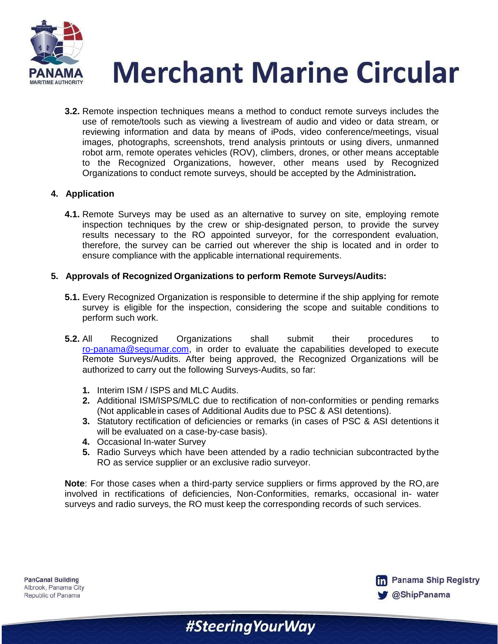

**Merchant Marine Circular** 

**3.2.** Remote inspection techniques means a method to conduct remote surveys includes the use of remote/tools such as viewing a livestream of audio and video or data stream, or reviewing information and data by means of iPods, video conference/meetings, visual images, photographs, screenshots, trend analysis printouts or using divers, unmanned robot arm, remote operates vehicles (ROV), climbers, drones, or other means acceptable to the Recognized Organizations, however, other means used by Recognized Organizations to conduct remote surveys, should be accepted by the Administration**.**

# **4. Application**

**4.1.** Remote Surveys may be used as an alternative to survey on site, employing remote inspection techniques by the crew or ship-designated person, to provide the survey results necessary to the RO appointed surveyor, for the correspondent evaluation, therefore, the survey can be carried out wherever the ship is located and in order to ensure compliance with the applicable international requirements.

## **5. Approvals of Recognized Organizations to perform Remote Surveys/Audits:**

- **5.1.** Every Recognized Organization is responsible to determine if the ship applying for remote survey is eligible for the inspection, considering the scope and suitable conditions to perform such work.
- **5.2.** All Recognized Organizations shall submit their procedures to [ro-panama@segumar.com,](mailto:ro-panama@segumar.com) in order to evaluate the capabilities developed to execute Remote Surveys/Audits. After being approved, the Recognized Organizations will be authorized to carry out the following Surveys-Audits, so far:
	- **1.** Interim ISM / ISPS and MLC Audits.
	- **2.** Additional ISM/ISPS/MLC due to rectification of non-conformities or pending remarks (Not applicablein cases of Additional Audits due to PSC & ASI detentions).
	- **3.** Statutory rectification of deficiencies or remarks (in cases of PSC & ASI detentions it will be evaluated on a case-by-case basis).
	- **4.** Occasional In-water Survey
	- **5.** Radio Surveys which have been attended by a radio technician subcontracted bythe RO as service supplier or an exclusive radio surveyor.

**Note**: For those cases when a third-party service suppliers or firms approved by the RO,are involved in rectifications of deficiencies, Non-Conformities, remarks, occasional in- water surveys and radio surveys, the RO must keep the corresponding records of such services.

**PanCanal Building** Albrook, Panama City Republic of Panama

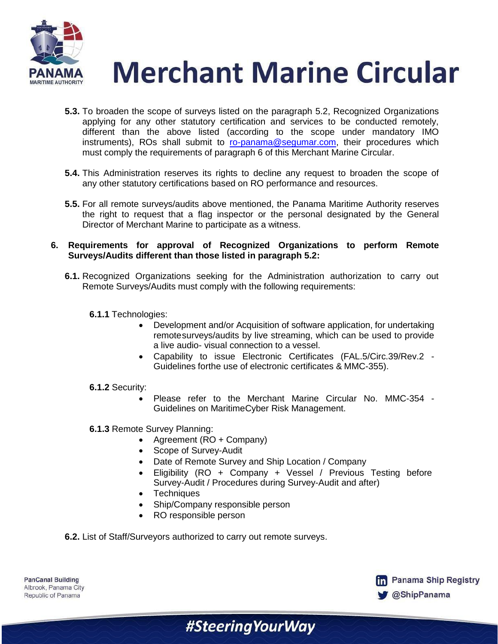

**Merchant Marine Circular** 

- **5.3.** To broaden the scope of surveys listed on the paragraph 5.2, Recognized Organizations applying for any other statutory certification and services to be conducted remotely, different than the above listed (according to the scope under mandatory IMO instruments), ROs shall submit to [ro-panama@segumar.com,](mailto:ro-panama@segumar.com,) their procedures which must comply the requirements of paragraph 6 of this Merchant Marine Circular.
- **5.4.** This Administration reserves its rights to decline any request to broaden the scope of any other statutory certifications based on RO performance and resources.
- **5.5.** For all remote surveys/audits above mentioned, the Panama Maritime Authority reserves the right to request that a flag inspector or the personal designated by the General Director of Merchant Marine to participate as a witness.
- **6. Requirements for approval of Recognized Organizations to perform Remote Surveys/Audits different than those listed in paragraph 5.2:**
	- **6.1.** Recognized Organizations seeking for the Administration authorization to carry out Remote Surveys/Audits must comply with the following requirements:
		- **6.1.1** Technologies:
			- Development and/or Acquisition of software application, for undertaking remotesurveys/audits by live streaming, which can be used to provide a live audio- visual connection to a vessel.
			- Capability to issue Electronic Certificates (FAL.5/Circ.39/Rev.2 Guidelines forthe use of electronic certificates & MMC-355).
		- **6.1.2** Security:
			- Please refer to the Merchant Marine Circular No. MMC-354 Guidelines on MaritimeCyber Risk Management.
		- **6.1.3** Remote Survey Planning:
			- Agreement (RO + Company)
			- Scope of Survey-Audit
			- Date of Remote Survey and Ship Location / Company

#SteeringYourWay

- Eligibility (RO + Company + Vessel / Previous Testing before Survey-Audit / Procedures during Survey-Audit and after)
- Techniques
- Ship/Company responsible person
- RO responsible person
- **6.2.** List of Staff/Surveyors authorized to carry out remote surveys.

| <b>PanCanal Building</b> |
|--------------------------|
| Albrook, Panama City     |
| Republic of Panama       |